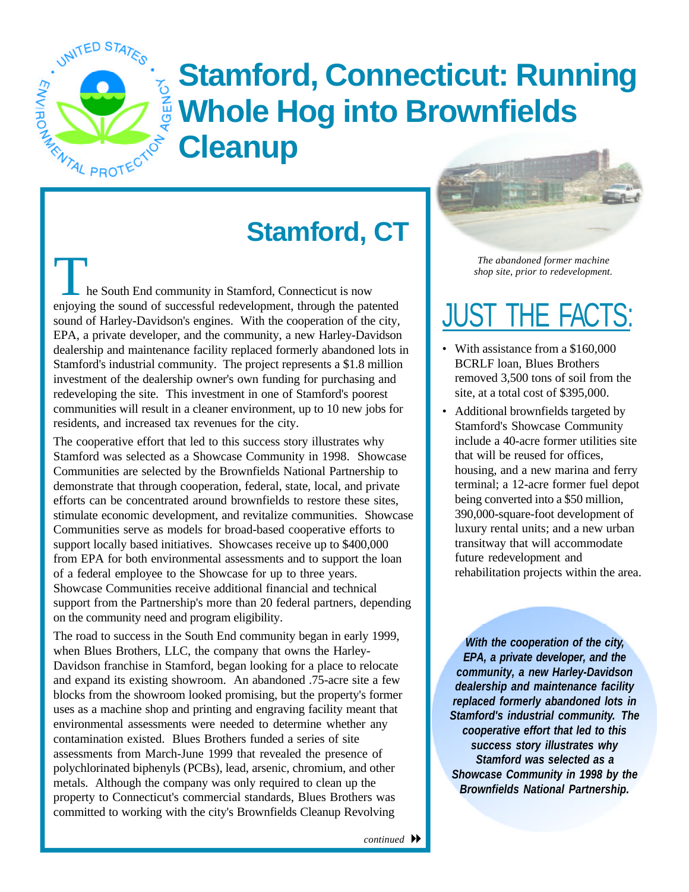

## **Stamford, Connecticut: Running Cleanup Whole Hog into Brownfields**

## **Stamford, CT**

he South End community in Stamford, Connecticut is now enjoying the sound of successful redevelopment, through the patented sound of Harley-Davidson's engines. With the cooperation of the city, EPA, a private developer, and the community, a new Harley-Davidson dealership and maintenance facility replaced formerly abandoned lots in Stamford's industrial community. The project represents a \$1.8 million investment of the dealership owner's own funding for purchasing and redeveloping the site. This investment in one of Stamford's poorest communities will result in a cleaner environment, up to 10 new jobs for residents, and increased tax revenues for the city.

The cooperative effort that led to this success story illustrates why Stamford was selected as a Showcase Community in 1998. Showcase Communities are selected by the Brownfields National Partnership to demonstrate that through cooperation, federal, state, local, and private efforts can be concentrated around brownfields to restore these sites, stimulate economic development, and revitalize communities. Showcase Communities serve as models for broad-based cooperative efforts to support locally based initiatives. Showcases receive up to \$400,000 from EPA for both environmental assessments and to support the loan of a federal employee to the Showcase for up to three years. Showcase Communities receive additional financial and technical support from the Partnership's more than 20 federal partners, depending on the community need and program eligibility.

The road to success in the South End community began in early 1999, when Blues Brothers, LLC, the company that owns the Harley-Davidson franchise in Stamford, began looking for a place to relocate and expand its existing showroom. An abandoned .75-acre site a few blocks from the showroom looked promising, but the property's former uses as a machine shop and printing and engraving facility meant that environmental assessments were needed to determine whether any contamination existed. Blues Brothers funded a series of site assessments from March-June 1999 that revealed the presence of polychlorinated biphenyls (PCBs), lead, arsenic, chromium, and other metals. Although the company was only required to clean up the property to Connecticut's commercial standards, Blues Brothers was committed to working with the city's Brownfields Cleanup Revolving

*The abandoned former machine shop site, prior to redevelopment.* 

## <u>JUST THE FACTS:</u>

- With assistance from a \$160,000 BCRLF loan, Blues Brothers removed 3,500 tons of soil from the site, at a total cost of \$395,000.
- Additional brownfields targeted by Stamford's Showcase Community include a 40-acre former utilities site that will be reused for offices, housing, and a new marina and ferry terminal; a 12-acre former fuel depot being converted into a \$50 million, 390,000-square-foot development of luxury rental units; and a new urban transitway that will accommodate future redevelopment and rehabilitation projects within the area.

*With the cooperation of the city, EPA, a private developer, and the community, a new Harley-Davidson dealership and maintenance facility replaced formerly abandoned lots in Stamford's industrial community. The cooperative effort that led to this success story illustrates why Stamford was selected as a Showcase Community in 1998 by the Brownfields National Partnership.*